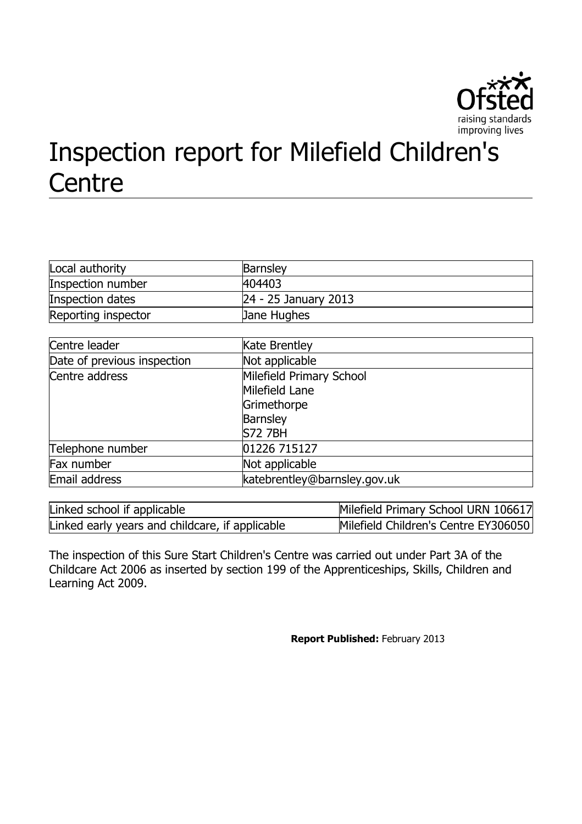

# Inspection report for Milefield Children's **Centre**

| Local authority     | <b>Barnsley</b>      |
|---------------------|----------------------|
| Inspection number   | 404403               |
| Inspection dates    | 24 - 25 January 2013 |
| Reporting inspector | <b>Jane Hughes</b>   |

| Centre leader               | <b>Kate Brentley</b>         |
|-----------------------------|------------------------------|
| Date of previous inspection | Not applicable               |
| Centre address              | Milefield Primary School     |
|                             | Milefield Lane               |
|                             | Grimethorpe                  |
|                             | <b>Barnsley</b>              |
|                             | <b>S72 7BH</b>               |
| Telephone number            | 01226 715127                 |
| Fax number                  | Not applicable               |
| Email address               | katebrentley@barnsley.gov.uk |
|                             |                              |

| Linked school if applicable                     | Milefield Primary School URN 106617  |
|-------------------------------------------------|--------------------------------------|
| Linked early years and childcare, if applicable | Milefield Children's Centre EY306050 |

The inspection of this Sure Start Children's Centre was carried out under Part 3A of the Childcare Act 2006 as inserted by section 199 of the Apprenticeships, Skills, Children and Learning Act 2009.

**Report Published:** February 2013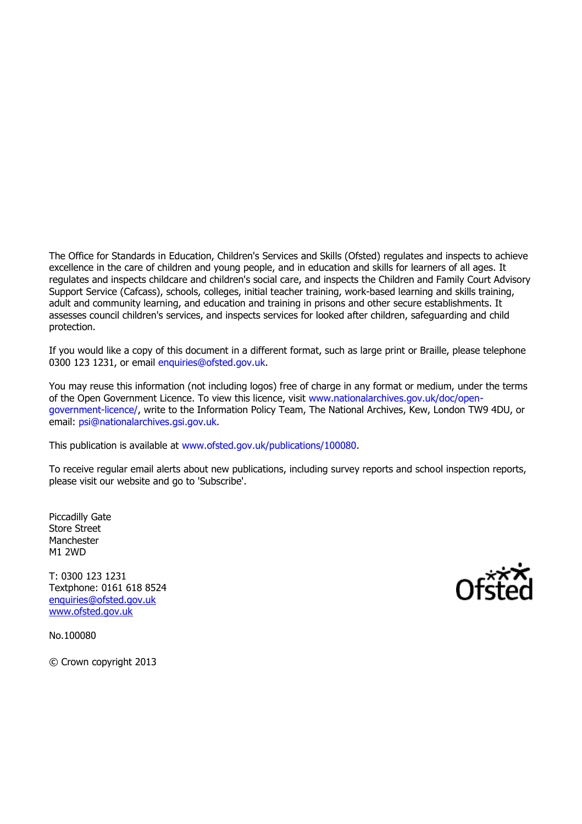The Office for Standards in Education, Children's Services and Skills (Ofsted) regulates and inspects to achieve excellence in the care of children and young people, and in education and skills for learners of all ages. It regulates and inspects childcare and children's social care, and inspects the Children and Family Court Advisory Support Service (Cafcass), schools, colleges, initial teacher training, work-based learning and skills training, adult and community learning, and education and training in prisons and other secure establishments. It assesses council children's services, and inspects services for looked after children, safeguarding and child protection.

If you would like a copy of this document in a different format, such as large print or Braille, please telephone 0300 123 1231, or email [enquiries@ofsted.gov.uk.](file:///C:/Users/rcowley/AppData/AppData/Local/Microsoft/Windows/Temporary%20Internet%20Files/Content.IE5/AppData/Local/Microsoft/Windows/Temporary%20Internet%20Files/Low/Content.IE5/AppData/Local/Microsoft/Windows/Temporary%20Internet%20Files/Low/Content.IE5/ELCRCPM9/enquiries@ofsted.gov.uk)

You may reuse this information (not including logos) free of charge in any format or medium, under the terms of the Open Government Licence. To view this licence, visit [www.nationalarchives.gov.uk/doc/open](file:///C:/Users/rcowley/AppData/AppData/Local/Microsoft/Windows/Temporary%20Internet%20Files/Content.IE5/AppData/Local/Microsoft/Windows/Temporary%20Internet%20Files/Low/Content.IE5/AppData/Local/Microsoft/Windows/Temporary%20Internet%20Files/Low/Content.IE5/ELCRCPM9/www.nationalarchives.gov.uk/doc/open-government-licence/)[government-licence/,](file:///C:/Users/rcowley/AppData/AppData/Local/Microsoft/Windows/Temporary%20Internet%20Files/Content.IE5/AppData/Local/Microsoft/Windows/Temporary%20Internet%20Files/Low/Content.IE5/AppData/Local/Microsoft/Windows/Temporary%20Internet%20Files/Low/Content.IE5/ELCRCPM9/www.nationalarchives.gov.uk/doc/open-government-licence/) write to the Information Policy Team, The National Archives, Kew, London TW9 4DU, or email: [psi@nationalarchives.gsi.gov.uk.](file:///C:/Users/rcowley/AppData/AppData/Local/Microsoft/Windows/Temporary%20Internet%20Files/Content.IE5/AppData/Local/Microsoft/Windows/Temporary%20Internet%20Files/Low/Content.IE5/AppData/Local/Microsoft/Windows/Temporary%20Internet%20Files/Low/Content.IE5/ELCRCPM9/psi@nationalarchives.gsi.gov.uk)

This publication is available at [www.ofsted.gov.uk/publications/100080.](file:///C:/Users/rcowley/AppData/AppData/Local/Microsoft/Windows/Temporary%20Internet%20Files/Content.IE5/AppData/Local/Microsoft/Windows/Temporary%20Internet%20Files/Low/Content.IE5/AppData/Local/Microsoft/Windows/Temporary%20Internet%20Files/Low/Content.IE5/ELCRCPM9/www.ofsted.gov.uk/publications/100080)

To receive regular email alerts about new publications, including survey reports and school inspection reports, please visit our website and go to 'Subscribe'.

Piccadilly Gate Store Street Manchester M1 2WD

T: 0300 123 1231 Textphone: 0161 618 8524 [enquiries@ofsted.gov.uk](mailto:enquiries@ofsted.gov.uk) [www.ofsted.gov.uk](http://www.ofsted.gov.uk/)

No.100080

© Crown copyright 2013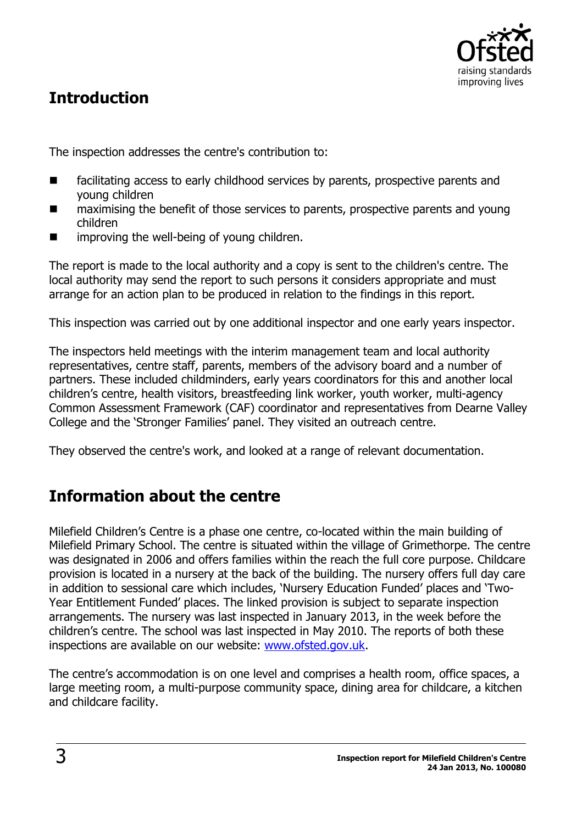

# **Introduction**

The inspection addresses the centre's contribution to:

- facilitating access to early childhood services by parents, prospective parents and young children
- maximising the benefit of those services to parents, prospective parents and young children
- **IF** improving the well-being of young children.

The report is made to the local authority and a copy is sent to the children's centre. The local authority may send the report to such persons it considers appropriate and must arrange for an action plan to be produced in relation to the findings in this report.

This inspection was carried out by one additional inspector and one early years inspector.

The inspectors held meetings with the interim management team and local authority representatives, centre staff, parents, members of the advisory board and a number of partners. These included childminders, early years coordinators for this and another local children's centre, health visitors, breastfeeding link worker, youth worker, multi-agency Common Assessment Framework (CAF) coordinator and representatives from Dearne Valley College and the 'Stronger Families' panel. They visited an outreach centre.

They observed the centre's work, and looked at a range of relevant documentation.

# **Information about the centre**

Milefield Children's Centre is a phase one centre, co-located within the main building of Milefield Primary School. The centre is situated within the village of Grimethorpe. The centre was designated in 2006 and offers families within the reach the full core purpose. Childcare provision is located in a nursery at the back of the building. The nursery offers full day care in addition to sessional care which includes, 'Nursery Education Funded' places and 'Two-Year Entitlement Funded' places. The linked provision is subject to separate inspection arrangements. The nursery was last inspected in January 2013, in the week before the children's centre. The school was last inspected in May 2010. The reports of both these inspections are available on our website: [www.ofsted.gov.uk.](http://www.ofsted.gov.uk/)

The centre's accommodation is on one level and comprises a health room, office spaces, a large meeting room, a multi-purpose community space, dining area for childcare, a kitchen and childcare facility.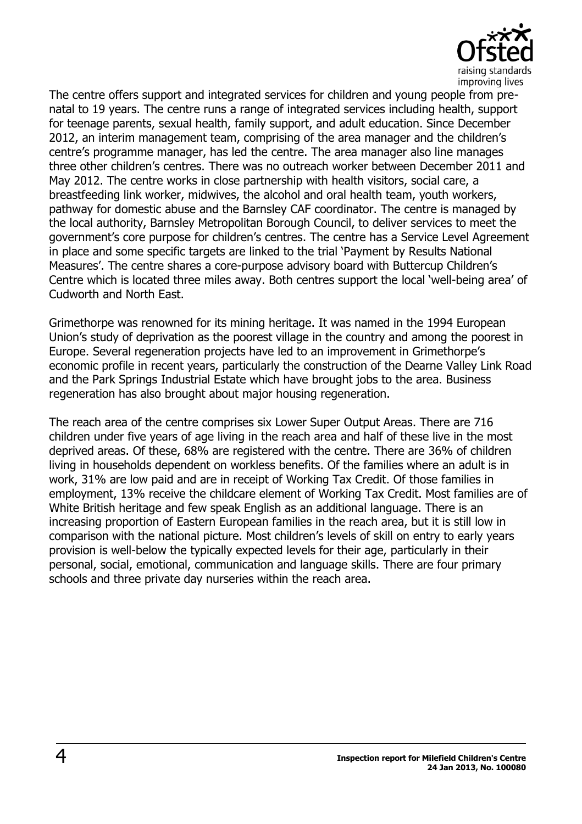

The centre offers support and integrated services for children and young people from prenatal to 19 years. The centre runs a range of integrated services including health, support for teenage parents, sexual health, family support, and adult education. Since December 2012, an interim management team, comprising of the area manager and the children's centre's programme manager, has led the centre. The area manager also line manages three other children's centres. There was no outreach worker between December 2011 and May 2012. The centre works in close partnership with health visitors, social care, a breastfeeding link worker, midwives, the alcohol and oral health team, youth workers, pathway for domestic abuse and the Barnsley CAF coordinator. The centre is managed by the local authority, Barnsley Metropolitan Borough Council, to deliver services to meet the government's core purpose for children's centres. The centre has a Service Level Agreement in place and some specific targets are linked to the trial 'Payment by Results National Measures'. The centre shares a core-purpose advisory board with Buttercup Children's Centre which is located three miles away. Both centres support the local 'well-being area' of Cudworth and North East.

Grimethorpe was renowned for its mining heritage. It was named in the 1994 European Union's study of deprivation as the poorest village in the country and among the poorest in Europe. Several regeneration projects have led to an improvement in Grimethorpe's economic profile in recent years, particularly the construction of the Dearne Valley Link Road and the Park Springs Industrial Estate which have brought jobs to the area. Business regeneration has also brought about major housing regeneration.

The reach area of the centre comprises six Lower Super Output Areas. There are 716 children under five years of age living in the reach area and half of these live in the most deprived areas. Of these, 68% are registered with the centre. There are 36% of children living in households dependent on workless benefits. Of the families where an adult is in work, 31% are low paid and are in receipt of Working Tax Credit. Of those families in employment, 13% receive the childcare element of Working Tax Credit. Most families are of White British heritage and few speak English as an additional language. There is an increasing proportion of Eastern European families in the reach area, but it is still low in comparison with the national picture. Most children's levels of skill on entry to early years provision is well-below the typically expected levels for their age, particularly in their personal, social, emotional, communication and language skills. There are four primary schools and three private day nurseries within the reach area.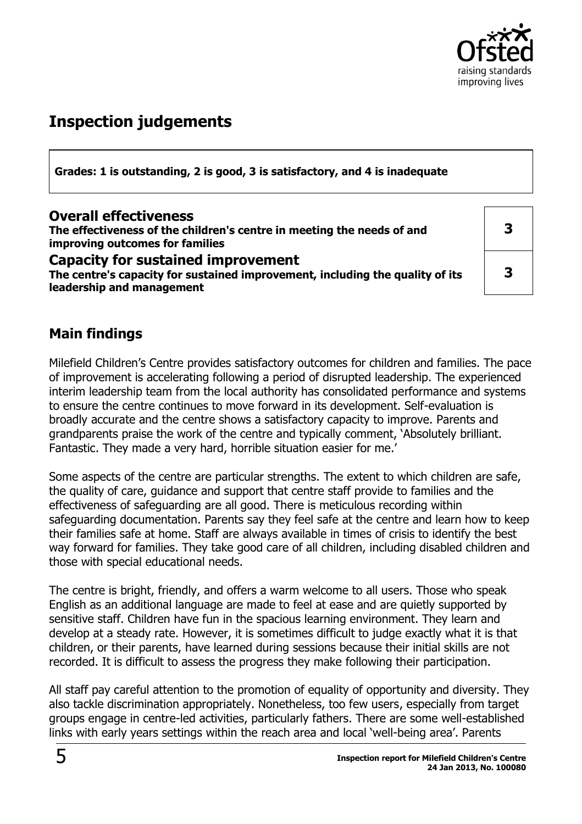

# **Inspection judgements**

**Grades: 1 is outstanding, 2 is good, 3 is satisfactory, and 4 is inadequate**

#### **Overall effectiveness**

**The effectiveness of the children's centre in meeting the needs of and improving outcomes for families**

**Capacity for sustained improvement The centre's capacity for sustained improvement, including the quality of its leadership and management** 

**3 3**

## **Main findings**

Milefield Children's Centre provides satisfactory outcomes for children and families. The pace of improvement is accelerating following a period of disrupted leadership. The experienced interim leadership team from the local authority has consolidated performance and systems to ensure the centre continues to move forward in its development. Self-evaluation is broadly accurate and the centre shows a satisfactory capacity to improve. Parents and grandparents praise the work of the centre and typically comment, 'Absolutely brilliant. Fantastic. They made a very hard, horrible situation easier for me.'

Some aspects of the centre are particular strengths. The extent to which children are safe, the quality of care, guidance and support that centre staff provide to families and the effectiveness of safeguarding are all good. There is meticulous recording within safeguarding documentation. Parents say they feel safe at the centre and learn how to keep their families safe at home. Staff are always available in times of crisis to identify the best way forward for families. They take good care of all children, including disabled children and those with special educational needs.

The centre is bright, friendly, and offers a warm welcome to all users. Those who speak English as an additional language are made to feel at ease and are quietly supported by sensitive staff. Children have fun in the spacious learning environment. They learn and develop at a steady rate. However, it is sometimes difficult to judge exactly what it is that children, or their parents, have learned during sessions because their initial skills are not recorded. It is difficult to assess the progress they make following their participation.

All staff pay careful attention to the promotion of equality of opportunity and diversity. They also tackle discrimination appropriately. Nonetheless, too few users, especially from target groups engage in centre-led activities, particularly fathers. There are some well-established links with early years settings within the reach area and local 'well-being area'. Parents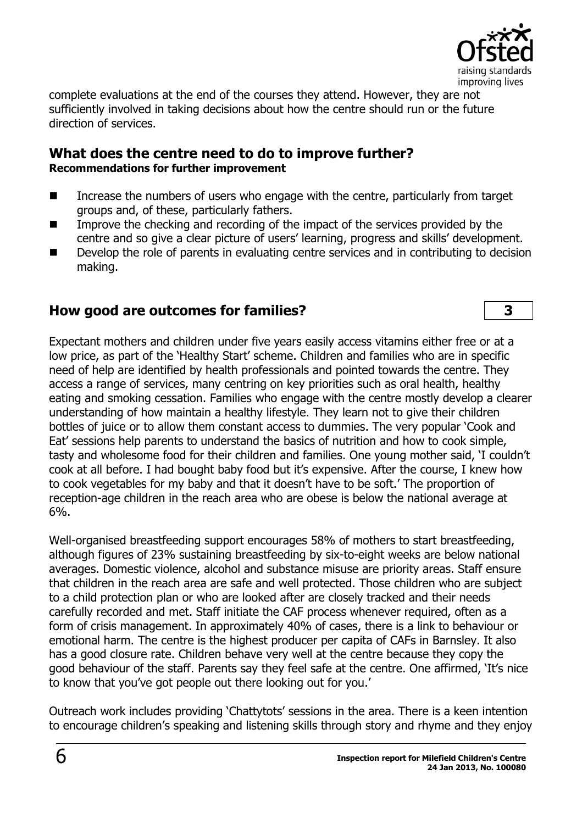

complete evaluations at the end of the courses they attend. However, they are not sufficiently involved in taking decisions about how the centre should run or the future direction of services.

#### **What does the centre need to do to improve further? Recommendations for further improvement**

- Increase the numbers of users who engage with the centre, particularly from target groups and, of these, particularly fathers.
- Improve the checking and recording of the impact of the services provided by the centre and so give a clear picture of users' learning, progress and skills' development.
- Develop the role of parents in evaluating centre services and in contributing to decision making.

### **How good are outcomes for families? 3**

Expectant mothers and children under five years easily access vitamins either free or at a low price, as part of the 'Healthy Start' scheme. Children and families who are in specific need of help are identified by health professionals and pointed towards the centre. They access a range of services, many centring on key priorities such as oral health, healthy eating and smoking cessation. Families who engage with the centre mostly develop a clearer understanding of how maintain a healthy lifestyle. They learn not to give their children bottles of juice or to allow them constant access to dummies. The very popular 'Cook and Eat' sessions help parents to understand the basics of nutrition and how to cook simple, tasty and wholesome food for their children and families. One young mother said, 'I couldn't cook at all before. I had bought baby food but it's expensive. After the course, I knew how to cook vegetables for my baby and that it doesn't have to be soft.' The proportion of reception-age children in the reach area who are obese is below the national average at 6%.

Well-organised breastfeeding support encourages 58% of mothers to start breastfeeding, although figures of 23% sustaining breastfeeding by six-to-eight weeks are below national averages. Domestic violence, alcohol and substance misuse are priority areas. Staff ensure that children in the reach area are safe and well protected. Those children who are subject to a child protection plan or who are looked after are closely tracked and their needs carefully recorded and met. Staff initiate the CAF process whenever required, often as a form of crisis management. In approximately 40% of cases, there is a link to behaviour or emotional harm. The centre is the highest producer per capita of CAFs in Barnsley. It also has a good closure rate. Children behave very well at the centre because they copy the good behaviour of the staff. Parents say they feel safe at the centre. One affirmed, 'It's nice to know that you've got people out there looking out for you.'

Outreach work includes providing 'Chattytots' sessions in the area. There is a keen intention to encourage children's speaking and listening skills through story and rhyme and they enjoy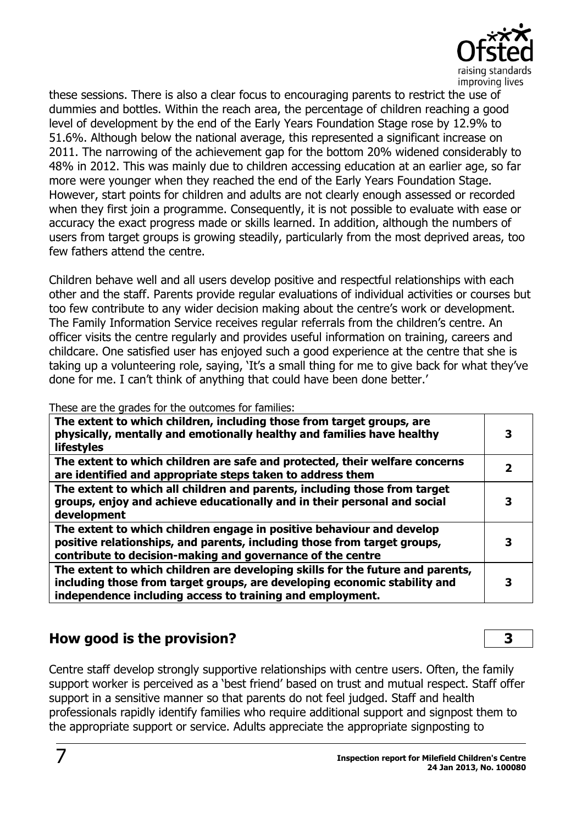

these sessions. There is also a clear focus to encouraging parents to restrict the use of dummies and bottles. Within the reach area, the percentage of children reaching a good level of development by the end of the Early Years Foundation Stage rose by 12.9% to 51.6%. Although below the national average, this represented a significant increase on 2011. The narrowing of the achievement gap for the bottom 20% widened considerably to 48% in 2012. This was mainly due to children accessing education at an earlier age, so far more were younger when they reached the end of the Early Years Foundation Stage. However, start points for children and adults are not clearly enough assessed or recorded when they first join a programme. Consequently, it is not possible to evaluate with ease or accuracy the exact progress made or skills learned. In addition, although the numbers of users from target groups is growing steadily, particularly from the most deprived areas, too few fathers attend the centre.

Children behave well and all users develop positive and respectful relationships with each other and the staff. Parents provide regular evaluations of individual activities or courses but too few contribute to any wider decision making about the centre's work or development. The Family Information Service receives regular referrals from the children's centre. An officer visits the centre regularly and provides useful information on training, careers and childcare. One satisfied user has enjoyed such a good experience at the centre that she is taking up a volunteering role, saying, 'It's a small thing for me to give back for what they've done for me. I can't think of anything that could have been done better.'

These are the grades for the outcomes for families:

| The extent to which children, including those from target groups, are<br>physically, mentally and emotionally healthy and families have healthy<br><b>lifestyles</b>                                                     |  |
|--------------------------------------------------------------------------------------------------------------------------------------------------------------------------------------------------------------------------|--|
| The extent to which children are safe and protected, their welfare concerns<br>are identified and appropriate steps taken to address them                                                                                |  |
| The extent to which all children and parents, including those from target<br>groups, enjoy and achieve educationally and in their personal and social<br>development                                                     |  |
| The extent to which children engage in positive behaviour and develop<br>positive relationships, and parents, including those from target groups,<br>contribute to decision-making and governance of the centre          |  |
| The extent to which children are developing skills for the future and parents,<br>including those from target groups, are developing economic stability and<br>independence including access to training and employment. |  |

# **How good is the provision? 3**

Centre staff develop strongly supportive relationships with centre users. Often, the family support worker is perceived as a 'best friend' based on trust and mutual respect. Staff offer support in a sensitive manner so that parents do not feel judged. Staff and health professionals rapidly identify families who require additional support and signpost them to the appropriate support or service. Adults appreciate the appropriate signposting to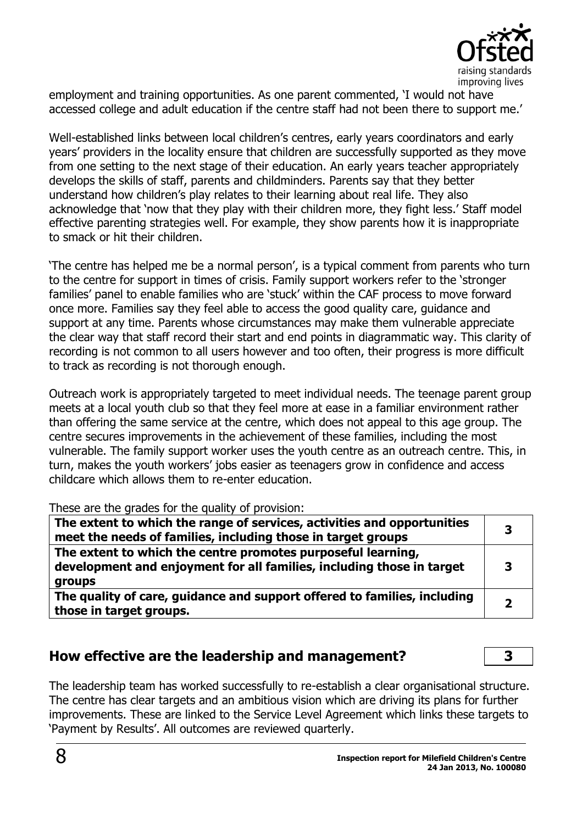

employment and training opportunities. As one parent commented, 'I would not have accessed college and adult education if the centre staff had not been there to support me.'

Well-established links between local children's centres, early years coordinators and early years' providers in the locality ensure that children are successfully supported as they move from one setting to the next stage of their education. An early years teacher appropriately develops the skills of staff, parents and childminders. Parents say that they better understand how children's play relates to their learning about real life. They also acknowledge that 'now that they play with their children more, they fight less.' Staff model effective parenting strategies well. For example, they show parents how it is inappropriate to smack or hit their children.

'The centre has helped me be a normal person', is a typical comment from parents who turn to the centre for support in times of crisis. Family support workers refer to the 'stronger families' panel to enable families who are 'stuck' within the CAF process to move forward once more. Families say they feel able to access the good quality care, guidance and support at any time. Parents whose circumstances may make them vulnerable appreciate the clear way that staff record their start and end points in diagrammatic way. This clarity of recording is not common to all users however and too often, their progress is more difficult to track as recording is not thorough enough.

Outreach work is appropriately targeted to meet individual needs. The teenage parent group meets at a local youth club so that they feel more at ease in a familiar environment rather than offering the same service at the centre, which does not appeal to this age group. The centre secures improvements in the achievement of these families, including the most vulnerable. The family support worker uses the youth centre as an outreach centre. This, in turn, makes the youth workers' jobs easier as teenagers grow in confidence and access childcare which allows them to re-enter education.

These are the grades for the quality of provision:

| The extent to which the range of services, activities and opportunities<br>meet the needs of families, including those in target groups         |  |
|-------------------------------------------------------------------------------------------------------------------------------------------------|--|
| The extent to which the centre promotes purposeful learning,<br>development and enjoyment for all families, including those in target<br>groups |  |
| The quality of care, guidance and support offered to families, including<br>those in target groups.                                             |  |

#### **How effective are the leadership and management? 3**

The leadership team has worked successfully to re-establish a clear organisational structure. The centre has clear targets and an ambitious vision which are driving its plans for further improvements. These are linked to the Service Level Agreement which links these targets to 'Payment by Results'. All outcomes are reviewed quarterly.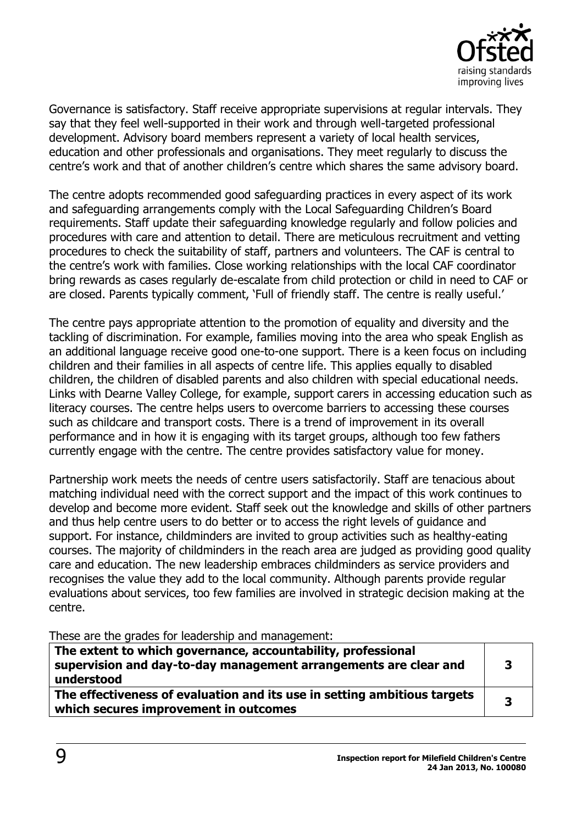

Governance is satisfactory. Staff receive appropriate supervisions at regular intervals. They say that they feel well-supported in their work and through well-targeted professional development. Advisory board members represent a variety of local health services, education and other professionals and organisations. They meet regularly to discuss the centre's work and that of another children's centre which shares the same advisory board.

The centre adopts recommended good safeguarding practices in every aspect of its work and safeguarding arrangements comply with the Local Safeguarding Children's Board requirements. Staff update their safeguarding knowledge regularly and follow policies and procedures with care and attention to detail. There are meticulous recruitment and vetting procedures to check the suitability of staff, partners and volunteers. The CAF is central to the centre's work with families. Close working relationships with the local CAF coordinator bring rewards as cases regularly de-escalate from child protection or child in need to CAF or are closed. Parents typically comment, 'Full of friendly staff. The centre is really useful.'

The centre pays appropriate attention to the promotion of equality and diversity and the tackling of discrimination. For example, families moving into the area who speak English as an additional language receive good one-to-one support. There is a keen focus on including children and their families in all aspects of centre life. This applies equally to disabled children, the children of disabled parents and also children with special educational needs. Links with Dearne Valley College, for example, support carers in accessing education such as literacy courses. The centre helps users to overcome barriers to accessing these courses such as childcare and transport costs. There is a trend of improvement in its overall performance and in how it is engaging with its target groups, although too few fathers currently engage with the centre. The centre provides satisfactory value for money.

Partnership work meets the needs of centre users satisfactorily. Staff are tenacious about matching individual need with the correct support and the impact of this work continues to develop and become more evident. Staff seek out the knowledge and skills of other partners and thus help centre users to do better or to access the right levels of guidance and support. For instance, childminders are invited to group activities such as healthy-eating courses. The majority of childminders in the reach area are judged as providing good quality care and education. The new leadership embraces childminders as service providers and recognises the value they add to the local community. Although parents provide regular evaluations about services, too few families are involved in strategic decision making at the centre.

These are the grades for leadership and management:

| The extent to which governance, accountability, professional<br>supervision and day-to-day management arrangements are clear and<br>understood | 3 |
|------------------------------------------------------------------------------------------------------------------------------------------------|---|
| The effectiveness of evaluation and its use in setting ambitious targets<br>which secures improvement in outcomes                              | 2 |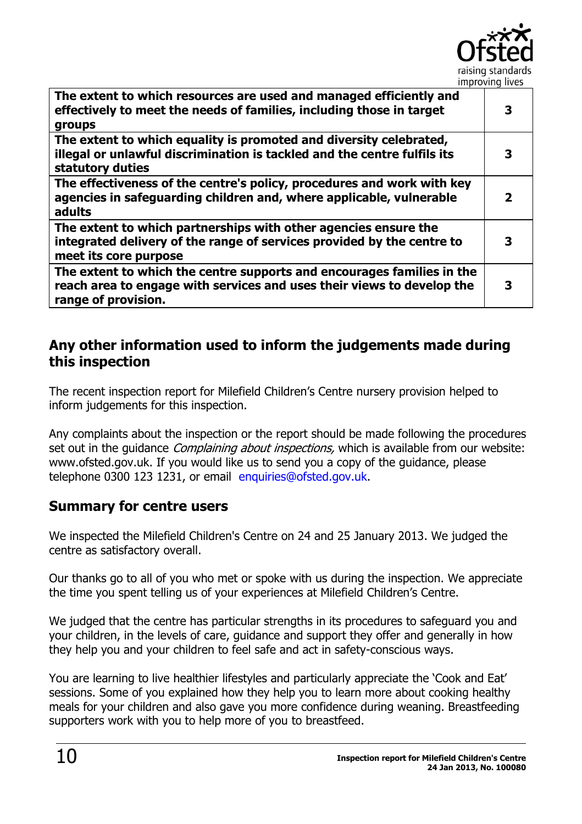

| The extent to which resources are used and managed efficiently and<br>effectively to meet the needs of families, including those in target<br>groups                    | З |
|-------------------------------------------------------------------------------------------------------------------------------------------------------------------------|---|
| The extent to which equality is promoted and diversity celebrated,<br>illegal or unlawful discrimination is tackled and the centre fulfils its<br>statutory duties      | 3 |
| The effectiveness of the centre's policy, procedures and work with key<br>agencies in safeguarding children and, where applicable, vulnerable<br>adults                 |   |
| The extent to which partnerships with other agencies ensure the<br>integrated delivery of the range of services provided by the centre to<br>meet its core purpose      | З |
| The extent to which the centre supports and encourages families in the<br>reach area to engage with services and uses their views to develop the<br>range of provision. |   |

## **Any other information used to inform the judgements made during this inspection**

The recent inspection report for Milefield Children's Centre nursery provision helped to inform judgements for this inspection.

Any complaints about the inspection or the report should be made following the procedures set out in the quidance *Complaining about inspections*, which is available from our website: www.ofsted.gov.uk. If you would like us to send you a copy of the guidance, please telephone 0300 123 1231, or email [enquiries@ofsted.gov.uk.](mailto:%20enquiries@ofsted.gov.uk)

## **Summary for centre users**

We inspected the Milefield Children's Centre on 24 and 25 January 2013. We judged the centre as satisfactory overall.

Our thanks go to all of you who met or spoke with us during the inspection. We appreciate the time you spent telling us of your experiences at Milefield Children's Centre.

We judged that the centre has particular strengths in its procedures to safeguard you and your children, in the levels of care, guidance and support they offer and generally in how they help you and your children to feel safe and act in safety-conscious ways.

You are learning to live healthier lifestyles and particularly appreciate the 'Cook and Eat' sessions. Some of you explained how they help you to learn more about cooking healthy meals for your children and also gave you more confidence during weaning. Breastfeeding supporters work with you to help more of you to breastfeed.